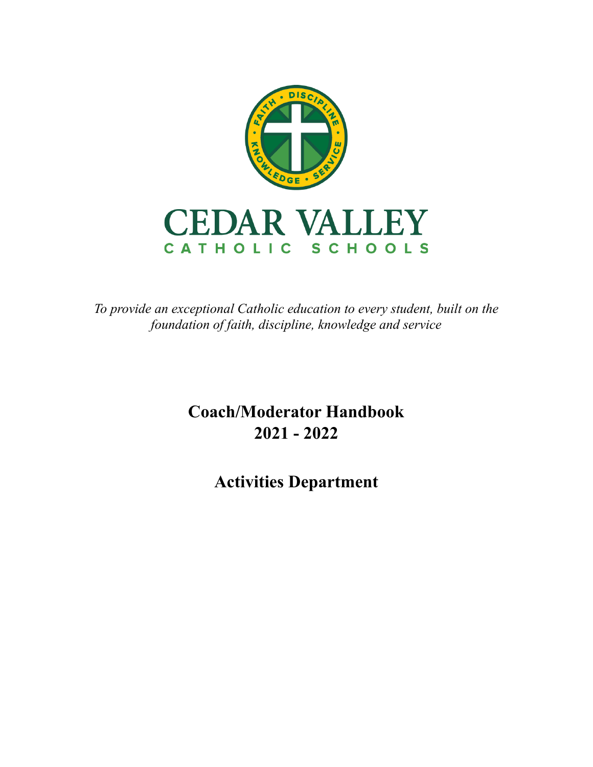

*To provide an exceptional Catholic education to every student, built on the foundation of faith, discipline, knowledge and service*

> **Coach/Moderator Handbook 2021 - 2022**

> > **Activities Department**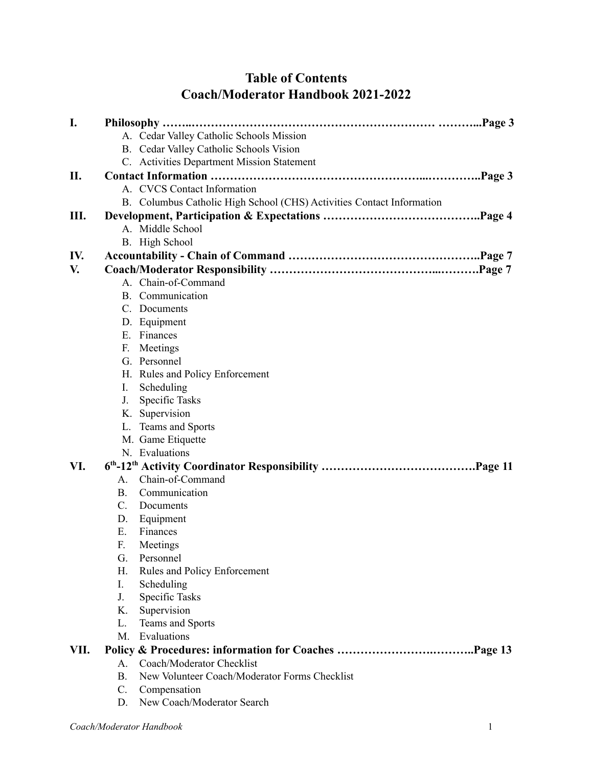# **Table of Contents Coach/Moderator Handbook 2021-2022**

| I.   |                | Philosophy                                                            |
|------|----------------|-----------------------------------------------------------------------|
|      |                | A. Cedar Valley Catholic Schools Mission                              |
|      |                | B. Cedar Valley Catholic Schools Vision                               |
|      |                | C. Activities Department Mission Statement                            |
| II.  |                |                                                                       |
|      |                | A. CVCS Contact Information                                           |
|      |                | B. Columbus Catholic High School (CHS) Activities Contact Information |
| Ш.   |                | Page 4                                                                |
|      |                | A. Middle School                                                      |
|      |                | B. High School                                                        |
| IV.  |                |                                                                       |
| V.   |                |                                                                       |
|      |                | A. Chain-of-Command                                                   |
|      |                | B. Communication                                                      |
|      |                | C. Documents                                                          |
|      |                | D. Equipment                                                          |
|      |                | E. Finances                                                           |
|      | $\mathbf{F}$   | Meetings                                                              |
|      |                | G. Personnel                                                          |
|      |                | H. Rules and Policy Enforcement                                       |
|      | L              | Scheduling                                                            |
|      | J.             | Specific Tasks                                                        |
|      |                | K. Supervision                                                        |
|      |                | L. Teams and Sports                                                   |
|      |                | M. Game Etiquette                                                     |
|      |                | N. Evaluations                                                        |
| VI.  |                |                                                                       |
|      | А.             | Chain-of-Command                                                      |
|      | В.             | Communication                                                         |
|      | $\mathbf{C}$ . | Documents                                                             |
|      | D.             | Equipment                                                             |
|      | Е.             | Finances                                                              |
|      | F.             | Meetings                                                              |
|      | G.             | Personnel                                                             |
|      | Н.             | Rules and Policy Enforcement                                          |
|      | I.             | Scheduling                                                            |
|      | J.             | Specific Tasks                                                        |
|      | K.             | Supervision                                                           |
|      | L.             | Teams and Sports                                                      |
|      | М.             | Evaluations                                                           |
| VII. |                |                                                                       |
|      | А.             | Coach/Moderator Checklist                                             |
|      | <b>B.</b>      | New Volunteer Coach/Moderator Forms Checklist                         |
|      | C.             | Compensation                                                          |
|      | D.             | New Coach/Moderator Search                                            |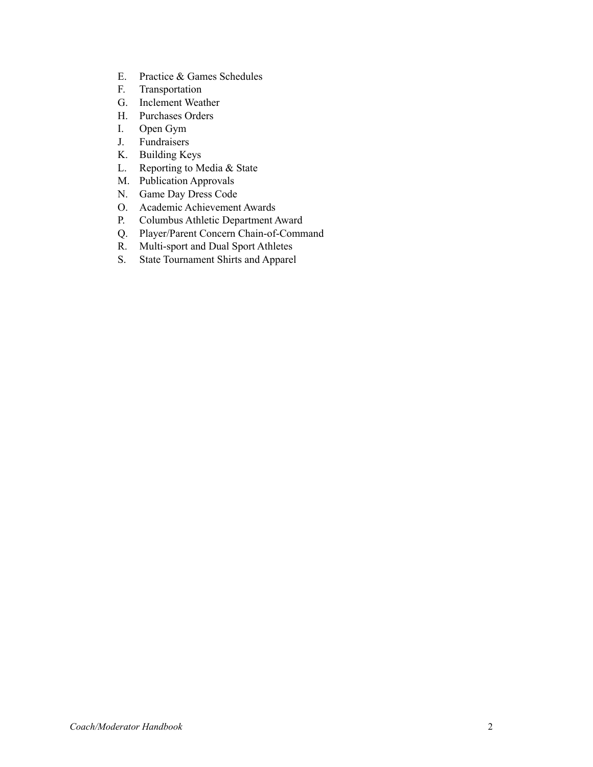- E. Practice & Games Schedules
- F. Transportation
- G. Inclement Weather
- H. Purchases Orders
- I. Open Gym
- J. Fundraisers
- K. Building Keys
- L. Reporting to Media & State
- M. Publication Approvals
- N. Game Day Dress Code
- O. Academic Achievement Awards
- P. Columbus Athletic Department Award
- Q. Player/Parent Concern Chain-of-Command
- R. Multi-sport and Dual Sport Athletes
- S. State Tournament Shirts and Apparel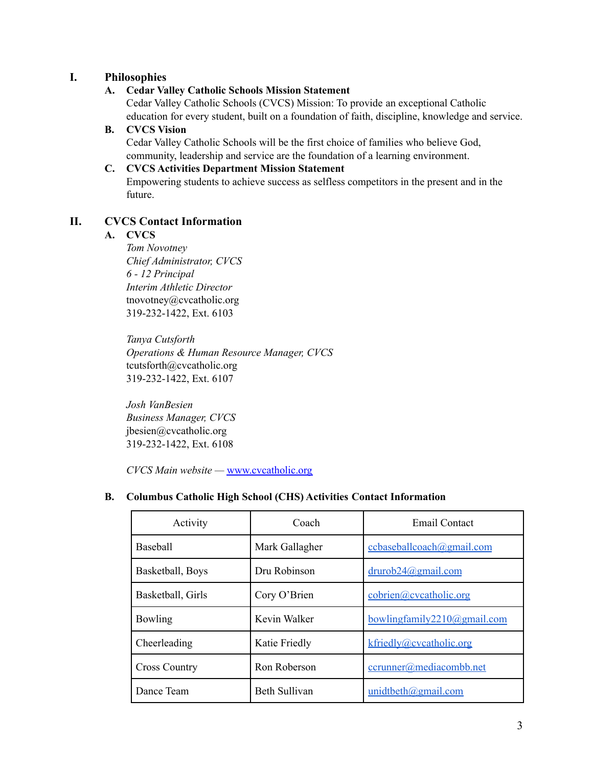# **I. Philosophies**

### **A. Cedar Valley Catholic Schools Mission Statement**

Cedar Valley Catholic Schools (CVCS) Mission: To provide an exceptional Catholic education for every student, built on a foundation of faith, discipline, knowledge and service.

#### **B. CVCS Vision**

Cedar Valley Catholic Schools will be the first choice of families who believe God, community, leadership and service are the foundation of a learning environment.

### **C. CVCS Activities Department Mission Statement**

Empowering students to achieve success as selfless competitors in the present and in the future.

# **II. CVCS Contact Information**

### **A. CVCS**

*Tom Novotney Chief Administrator, CVCS 6 - 12 Principal Interim Athletic Director* tnovotney@cvcatholic.org 319-232-1422, Ext. 6103

*Tanya Cutsforth Operations & Human Resource Manager, CVCS* tcutsforth@cvcatholic.org 319-232-1422, Ext. 6107

*Josh VanBesien Business Manager, CVCS* jbesien@cvcatholic.org 319-232-1422, Ext. 6108

*CVCS Main website —* www.cvcatholic.org

#### **B. Columbus Catholic High School (CHS) Activities Contact Information**

| Activity             | Coach          | Email Contact               |
|----------------------|----------------|-----------------------------|
| Baseball             | Mark Gallagher | ccbaseballcoach@gmail.com   |
| Basketball, Boys     | Dru Robinson   | $drurob24$ @gmail.com       |
| Basketball, Girls    | Cory O'Brien   | cobrien@cvcatholic.org      |
| Bowling              | Kevin Walker   | bowlingfamily2210@gmail.com |
| Cheerleading         | Katie Friedly  | kfriedly@cvcatholic.org     |
| <b>Cross Country</b> | Ron Roberson   | ccrunner@mediacombb.net     |
| Dance Team           | Beth Sullivan  | unidtbeth@gmail.com         |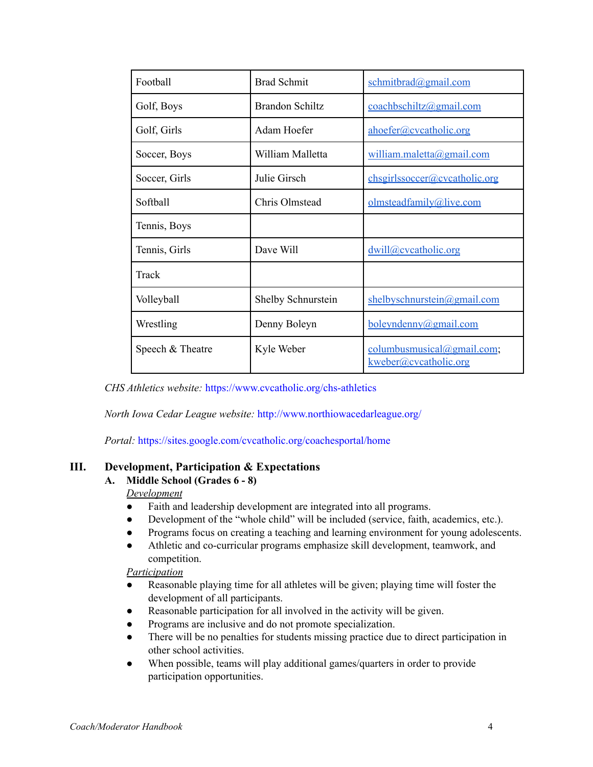| Football         | <b>Brad Schmit</b>        | schmitbrad@gmail.com                                 |
|------------------|---------------------------|------------------------------------------------------|
| Golf, Boys       | <b>Brandon Schiltz</b>    | coachbschiltz@gmail.com                              |
| Golf, Girls      | Adam Hoefer               | ahoefer@cvcatholic.org                               |
| Soccer, Boys     | William Malletta          | william.maletta@gmail.com                            |
| Soccer, Girls    | Julie Girsch              | chsgirlssoccer@cvcatholic.org                        |
| Softball         | Chris Olmstead            | olmsteadfamily@live.com                              |
| Tennis, Boys     |                           |                                                      |
| Tennis, Girls    | Dave Will                 | dwill@cvcatholic.org                                 |
| Track            |                           |                                                      |
| Volleyball       | <b>Shelby Schnurstein</b> | shelbyschnurstein@gmail.com                          |
| Wrestling        | Denny Boleyn              | boleyndenny@gmail.com                                |
| Speech & Theatre | Kyle Weber                | columnbusmusical@gmail.com;<br>kweber@cvcatholic.org |

*CHS Athletics website:* https://www.cvcatholic.org/chs-athletics

*North Iowa Cedar League website:* http://www.northiowacedarleague.org/

*Portal:* https://sites.google.com/cvcatholic.org/coachesportal/home

#### **III. Development, Participation & Expectations**

### **A. Middle School (Grades 6 - 8)**

### *Development*

- Faith and leadership development are integrated into all programs.
- Development of the "whole child" will be included (service, faith, academics, etc.).
- Programs focus on creating a teaching and learning environment for young adolescents.
- Athletic and co-curricular programs emphasize skill development, teamwork, and competition.

#### *Participation*

- Reasonable playing time for all athletes will be given; playing time will foster the development of all participants.
- Reasonable participation for all involved in the activity will be given.
- Programs are inclusive and do not promote specialization.
- There will be no penalties for students missing practice due to direct participation in other school activities.
- When possible, teams will play additional games/quarters in order to provide participation opportunities.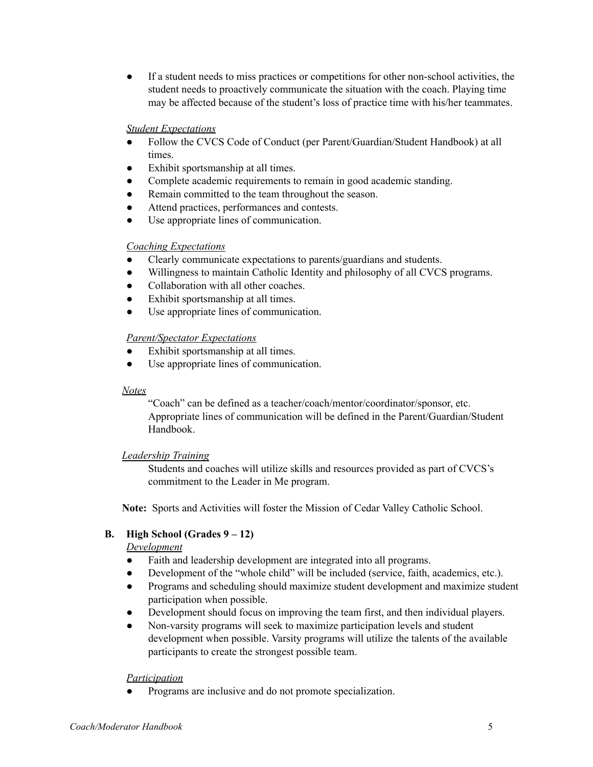● If a student needs to miss practices or competitions for other non-school activities, the student needs to proactively communicate the situation with the coach. Playing time may be affected because of the student's loss of practice time with his/her teammates.

#### *Student Expectations*

- Follow the CVCS Code of Conduct (per Parent/Guardian/Student Handbook) at all times.
- Exhibit sportsmanship at all times.
- Complete academic requirements to remain in good academic standing.
- Remain committed to the team throughout the season.
- Attend practices, performances and contests.
- Use appropriate lines of communication.

#### *Coaching Expectations*

- Clearly communicate expectations to parents/guardians and students.
- Willingness to maintain Catholic Identity and philosophy of all CVCS programs.
- Collaboration with all other coaches.
- Exhibit sportsmanship at all times.
- Use appropriate lines of communication.

#### *Parent/Spectator Expectations*

- Exhibit sportsmanship at all times.
- Use appropriate lines of communication.

#### *Notes*

"Coach" can be defined as a teacher/coach/mentor/coordinator/sponsor, etc. Appropriate lines of communication will be defined in the Parent/Guardian/Student Handbook.

#### *Leadership Training*

Students and coaches will utilize skills and resources provided as part of CVCS's commitment to the Leader in Me program.

**Note:** Sports and Activities will foster the Mission of Cedar Valley Catholic School.

# **B. High School (Grades 9 – 12)**

#### *Development*

- Faith and leadership development are integrated into all programs.
- Development of the "whole child" will be included (service, faith, academics, etc.).
- Programs and scheduling should maximize student development and maximize student participation when possible.
- Development should focus on improving the team first, and then individual players.
- Non-varsity programs will seek to maximize participation levels and student development when possible. Varsity programs will utilize the talents of the available participants to create the strongest possible team.

#### *Participation*

Programs are inclusive and do not promote specialization.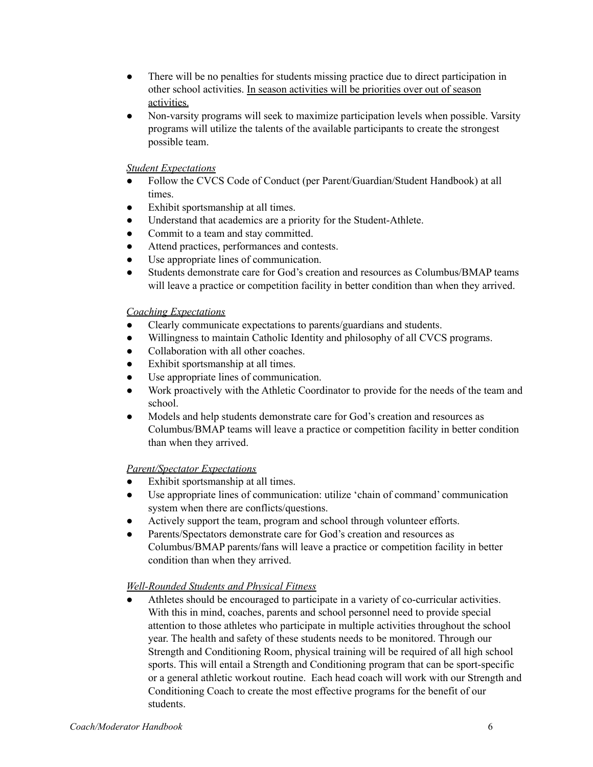- There will be no penalties for students missing practice due to direct participation in other school activities. In season activities will be priorities over out of season activities.
- Non-varsity programs will seek to maximize participation levels when possible. Varsity programs will utilize the talents of the available participants to create the strongest possible team.

### *Student Expectations*

- Follow the CVCS Code of Conduct (per Parent/Guardian/Student Handbook) at all times.
- Exhibit sportsmanship at all times.
- Understand that academics are a priority for the Student-Athlete.
- Commit to a team and stay committed.
- Attend practices, performances and contests.
- Use appropriate lines of communication.
- Students demonstrate care for God's creation and resources as Columbus/BMAP teams will leave a practice or competition facility in better condition than when they arrived.

### *Coaching Expectations*

- Clearly communicate expectations to parents/guardians and students.
- Willingness to maintain Catholic Identity and philosophy of all CVCS programs.
- Collaboration with all other coaches.
- Exhibit sportsmanship at all times.
- Use appropriate lines of communication.
- Work proactively with the Athletic Coordinator to provide for the needs of the team and school.
- Models and help students demonstrate care for God's creation and resources as Columbus/BMAP teams will leave a practice or competition facility in better condition than when they arrived.

# *Parent/Spectator Expectations*

- Exhibit sportsmanship at all times.
- Use appropriate lines of communication: utilize 'chain of command' communication system when there are conflicts/questions.
- Actively support the team, program and school through volunteer efforts.
- Parents/Spectators demonstrate care for God's creation and resources as Columbus/BMAP parents/fans will leave a practice or competition facility in better condition than when they arrived.

# *Well-Rounded Students and Physical Fitness*

Athletes should be encouraged to participate in a variety of co-curricular activities. With this in mind, coaches, parents and school personnel need to provide special attention to those athletes who participate in multiple activities throughout the school year. The health and safety of these students needs to be monitored. Through our Strength and Conditioning Room, physical training will be required of all high school sports. This will entail a Strength and Conditioning program that can be sport-specific or a general athletic workout routine. Each head coach will work with our Strength and Conditioning Coach to create the most effective programs for the benefit of our students.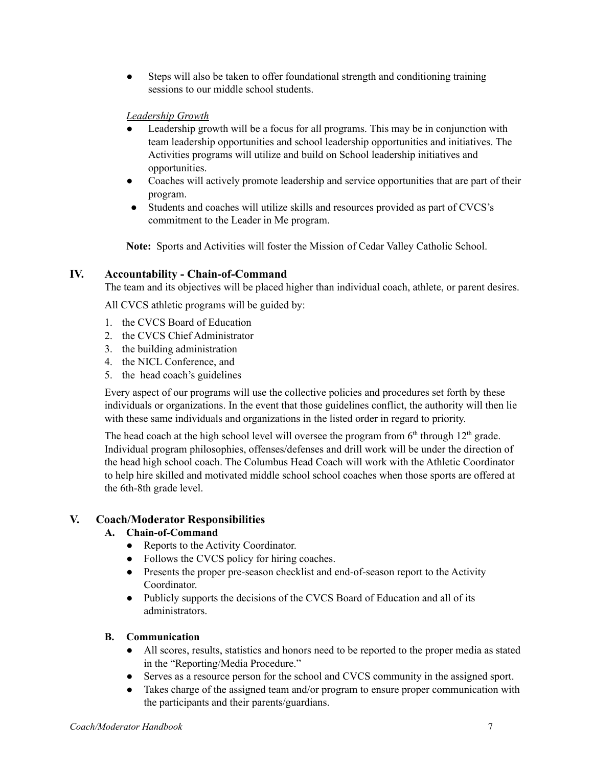• Steps will also be taken to offer foundational strength and conditioning training sessions to our middle school students.

# *Leadership Growth*

- Leadership growth will be a focus for all programs. This may be in conjunction with team leadership opportunities and school leadership opportunities and initiatives. The Activities programs will utilize and build on School leadership initiatives and opportunities.
- Coaches will actively promote leadership and service opportunities that are part of their program.
- Students and coaches will utilize skills and resources provided as part of CVCS's commitment to the Leader in Me program.

**Note:** Sports and Activities will foster the Mission of Cedar Valley Catholic School.

# **IV. Accountability - Chain-of-Command**

The team and its objectives will be placed higher than individual coach, athlete, or parent desires.

All CVCS athletic programs will be guided by:

- 1. the CVCS Board of Education
- 2. the CVCS Chief Administrator
- 3. the building administration
- 4. the NICL Conference, and
- 5. the head coach's guidelines

Every aspect of our programs will use the collective policies and procedures set forth by these individuals or organizations. In the event that those guidelines conflict, the authority will then lie with these same individuals and organizations in the listed order in regard to priority.

The head coach at the high school level will oversee the program from  $6<sup>th</sup>$  through  $12<sup>th</sup>$  grade. Individual program philosophies, offenses/defenses and drill work will be under the direction of the head high school coach. The Columbus Head Coach will work with the Athletic Coordinator to help hire skilled and motivated middle school school coaches when those sports are offered at the 6th-8th grade level.

# **V. Coach/Moderator Responsibilities**

# **A. Chain-of-Command**

- Reports to the Activity Coordinator.
- Follows the CVCS policy for hiring coaches.
- Presents the proper pre-season checklist and end-of-season report to the Activity Coordinator.
- Publicly supports the decisions of the CVCS Board of Education and all of its administrators.

# **B. Communication**

- All scores, results, statistics and honors need to be reported to the proper media as stated in the "Reporting/Media Procedure."
- Serves as a resource person for the school and CVCS community in the assigned sport.
- Takes charge of the assigned team and/or program to ensure proper communication with the participants and their parents/guardians.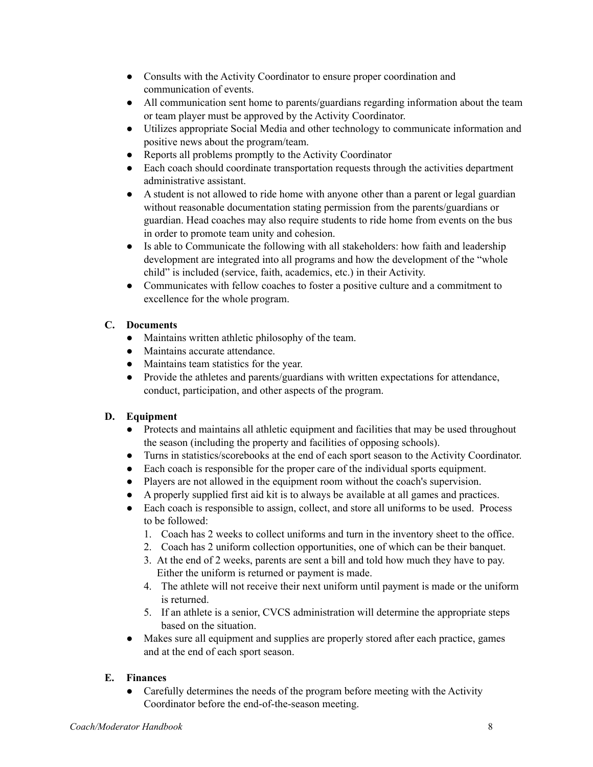- Consults with the Activity Coordinator to ensure proper coordination and communication of events.
- All communication sent home to parents/guardians regarding information about the team or team player must be approved by the Activity Coordinator.
- Utilizes appropriate Social Media and other technology to communicate information and positive news about the program/team.
- Reports all problems promptly to the Activity Coordinator
- Each coach should coordinate transportation requests through the activities department administrative assistant.
- A student is not allowed to ride home with anyone other than a parent or legal guardian without reasonable documentation stating permission from the parents/guardians or guardian. Head coaches may also require students to ride home from events on the bus in order to promote team unity and cohesion.
- Is able to Communicate the following with all stakeholders: how faith and leadership development are integrated into all programs and how the development of the "whole child" is included (service, faith, academics, etc.) in their Activity.
- Communicates with fellow coaches to foster a positive culture and a commitment to excellence for the whole program.

# **C. Documents**

- Maintains written athletic philosophy of the team.
- Maintains accurate attendance.
- Maintains team statistics for the year.
- Provide the athletes and parents/guardians with written expectations for attendance, conduct, participation, and other aspects of the program.

# **D. Equipment**

- Protects and maintains all athletic equipment and facilities that may be used throughout the season (including the property and facilities of opposing schools).
- Turns in statistics/scorebooks at the end of each sport season to the Activity Coordinator.
- Each coach is responsible for the proper care of the individual sports equipment.
- Players are not allowed in the equipment room without the coach's supervision.
- A properly supplied first aid kit is to always be available at all games and practices.
- Each coach is responsible to assign, collect, and store all uniforms to be used. Process to be followed:
	- 1. Coach has 2 weeks to collect uniforms and turn in the inventory sheet to the office.
	- 2. Coach has 2 uniform collection opportunities, one of which can be their banquet.
	- 3. At the end of 2 weeks, parents are sent a bill and told how much they have to pay. Either the uniform is returned or payment is made.
	- 4. The athlete will not receive their next uniform until payment is made or the uniform is returned.
	- 5. If an athlete is a senior, CVCS administration will determine the appropriate steps based on the situation.
- Makes sure all equipment and supplies are properly stored after each practice, games and at the end of each sport season.

# **E. Finances**

• Carefully determines the needs of the program before meeting with the Activity Coordinator before the end-of-the-season meeting.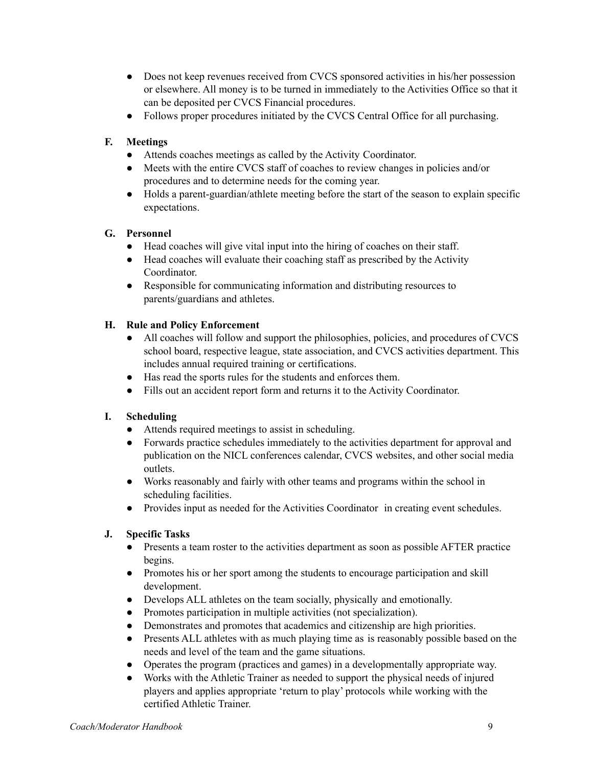- Does not keep revenues received from CVCS sponsored activities in his/her possession or elsewhere. All money is to be turned in immediately to the Activities Office so that it can be deposited per CVCS Financial procedures.
- Follows proper procedures initiated by the CVCS Central Office for all purchasing.

# **F. Meetings**

- Attends coaches meetings as called by the Activity Coordinator.
- Meets with the entire CVCS staff of coaches to review changes in policies and/or procedures and to determine needs for the coming year.
- Holds a parent-guardian/athlete meeting before the start of the season to explain specific expectations.

# **G. Personnel**

- Head coaches will give vital input into the hiring of coaches on their staff.
- Head coaches will evaluate their coaching staff as prescribed by the Activity Coordinator.
- Responsible for communicating information and distributing resources to parents/guardians and athletes.

# **H. Rule and Policy Enforcement**

- All coaches will follow and support the philosophies, policies, and procedures of CVCS school board, respective league, state association, and CVCS activities department. This includes annual required training or certifications.
- Has read the sports rules for the students and enforces them.
- Fills out an accident report form and returns it to the Activity Coordinator.

# **I. Scheduling**

- Attends required meetings to assist in scheduling.
- Forwards practice schedules immediately to the activities department for approval and publication on the NICL conferences calendar, CVCS websites, and other social media outlets.
- Works reasonably and fairly with other teams and programs within the school in scheduling facilities.
- Provides input as needed for the Activities Coordinator in creating event schedules.

# **J. Specific Tasks**

- Presents a team roster to the activities department as soon as possible AFTER practice begins.
- Promotes his or her sport among the students to encourage participation and skill development.
- Develops ALL athletes on the team socially, physically and emotionally.
- Promotes participation in multiple activities (not specialization).
- Demonstrates and promotes that academics and citizenship are high priorities.
- Presents ALL athletes with as much playing time as is reasonably possible based on the needs and level of the team and the game situations.
- Operates the program (practices and games) in a developmentally appropriate way.
- Works with the Athletic Trainer as needed to support the physical needs of injured players and applies appropriate 'return to play' protocols while working with the certified Athletic Trainer.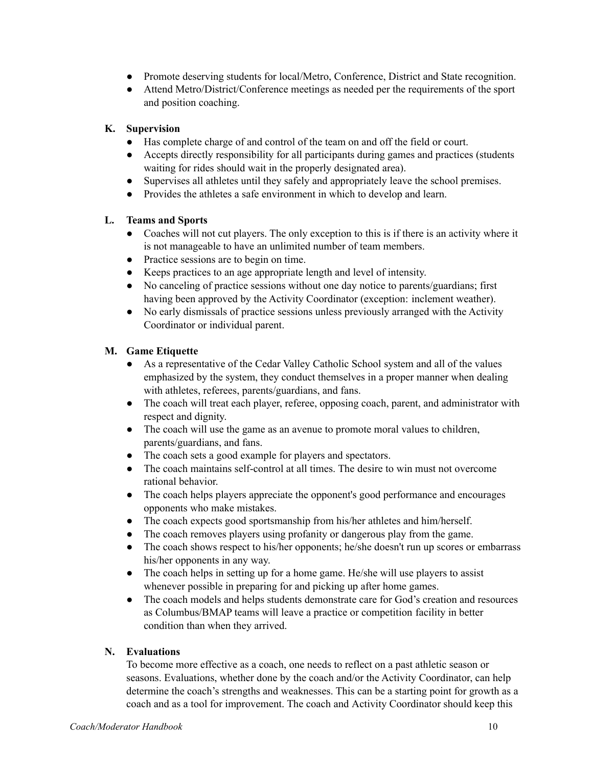- Promote deserving students for local/Metro, Conference, District and State recognition.
- Attend Metro/District/Conference meetings as needed per the requirements of the sport and position coaching.

# **K. Supervision**

- Has complete charge of and control of the team on and off the field or court.
- Accepts directly responsibility for all participants during games and practices (students waiting for rides should wait in the properly designated area).
- Supervises all athletes until they safely and appropriately leave the school premises.
- Provides the athletes a safe environment in which to develop and learn.

# **L. Teams and Sports**

- Coaches will not cut players. The only exception to this is if there is an activity where it is not manageable to have an unlimited number of team members.
- Practice sessions are to begin on time.
- Keeps practices to an age appropriate length and level of intensity.
- No canceling of practice sessions without one day notice to parents/guardians; first having been approved by the Activity Coordinator (exception: inclement weather).
- No early dismissals of practice sessions unless previously arranged with the Activity Coordinator or individual parent.

# **M. Game Etiquette**

- As a representative of the Cedar Valley Catholic School system and all of the values emphasized by the system, they conduct themselves in a proper manner when dealing with athletes, referees, parents/guardians, and fans.
- The coach will treat each player, referee, opposing coach, parent, and administrator with respect and dignity.
- The coach will use the game as an avenue to promote moral values to children, parents/guardians, and fans.
- The coach sets a good example for players and spectators.
- The coach maintains self-control at all times. The desire to win must not overcome rational behavior.
- The coach helps players appreciate the opponent's good performance and encourages opponents who make mistakes.
- The coach expects good sportsmanship from his/her athletes and him/herself.
- The coach removes players using profanity or dangerous play from the game.
- The coach shows respect to his/her opponents; he/she doesn't run up scores or embarrass his/her opponents in any way.
- The coach helps in setting up for a home game. He/she will use players to assist whenever possible in preparing for and picking up after home games.
- The coach models and helps students demonstrate care for God's creation and resources as Columbus/BMAP teams will leave a practice or competition facility in better condition than when they arrived.

# **N. Evaluations**

To become more effective as a coach, one needs to reflect on a past athletic season or seasons. Evaluations, whether done by the coach and/or the Activity Coordinator, can help determine the coach's strengths and weaknesses. This can be a starting point for growth as a coach and as a tool for improvement. The coach and Activity Coordinator should keep this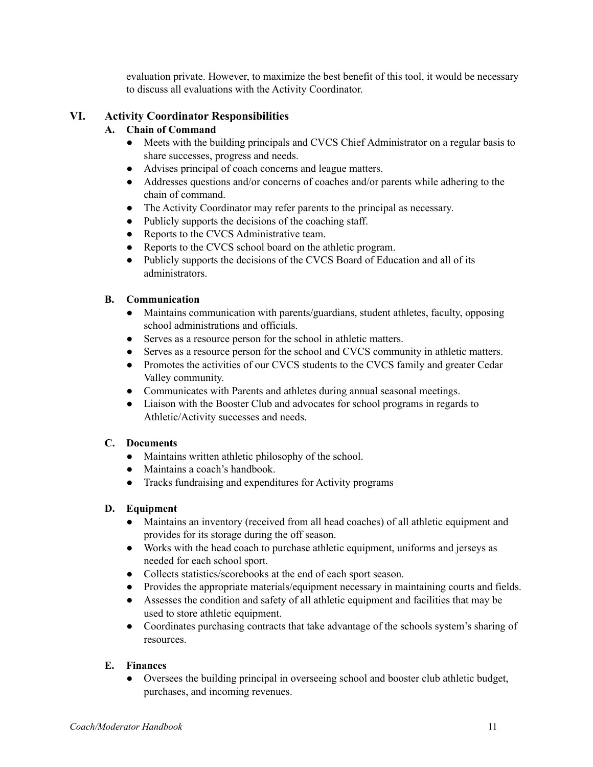evaluation private. However, to maximize the best benefit of this tool, it would be necessary to discuss all evaluations with the Activity Coordinator.

# **VI. Activity Coordinator Responsibilities**

# **A. Chain of Command**

- Meets with the building principals and CVCS Chief Administrator on a regular basis to share successes, progress and needs.
- Advises principal of coach concerns and league matters.
- Addresses questions and/or concerns of coaches and/or parents while adhering to the chain of command.
- The Activity Coordinator may refer parents to the principal as necessary.
- Publicly supports the decisions of the coaching staff.
- Reports to the CVCS Administrative team.
- Reports to the CVCS school board on the athletic program.
- Publicly supports the decisions of the CVCS Board of Education and all of its administrators.

# **B. Communication**

- Maintains communication with parents/guardians, student athletes, faculty, opposing school administrations and officials.
- Serves as a resource person for the school in athletic matters.
- Serves as a resource person for the school and CVCS community in athletic matters.
- Promotes the activities of our CVCS students to the CVCS family and greater Cedar Valley community.
- Communicates with Parents and athletes during annual seasonal meetings.
- Liaison with the Booster Club and advocates for school programs in regards to Athletic/Activity successes and needs.

# **C. Documents**

- Maintains written athletic philosophy of the school.
- Maintains a coach's handbook.
- Tracks fundraising and expenditures for Activity programs

# **D. Equipment**

- Maintains an inventory (received from all head coaches) of all athletic equipment and provides for its storage during the off season.
- Works with the head coach to purchase athletic equipment, uniforms and jerseys as needed for each school sport.
- Collects statistics/scorebooks at the end of each sport season.
- Provides the appropriate materials/equipment necessary in maintaining courts and fields.
- Assesses the condition and safety of all athletic equipment and facilities that may be used to store athletic equipment.
- Coordinates purchasing contracts that take advantage of the schools system's sharing of resources.

# **E. Finances**

● Oversees the building principal in overseeing school and booster club athletic budget, purchases, and incoming revenues.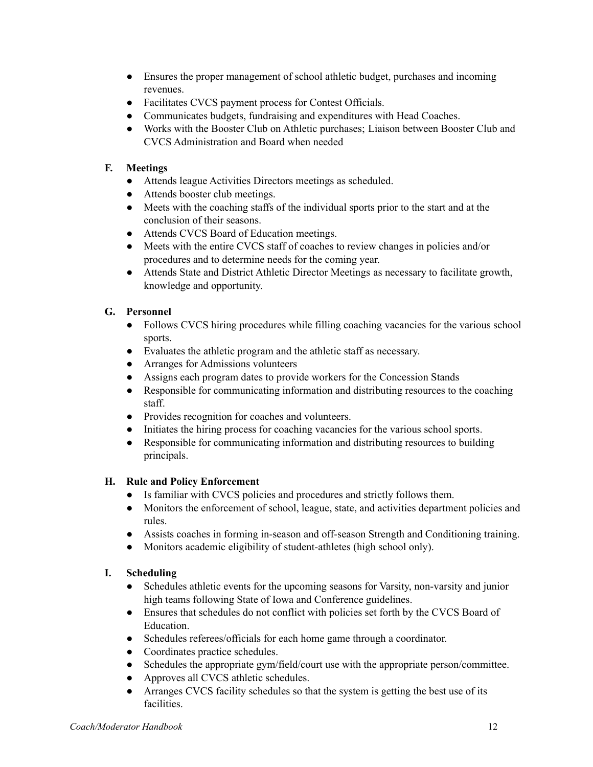- Ensures the proper management of school athletic budget, purchases and incoming revenues.
- Facilitates CVCS payment process for Contest Officials.
- Communicates budgets, fundraising and expenditures with Head Coaches.
- Works with the Booster Club on Athletic purchases; Liaison between Booster Club and CVCS Administration and Board when needed

# **F. Meetings**

- Attends league Activities Directors meetings as scheduled.
- Attends booster club meetings.
- Meets with the coaching staffs of the individual sports prior to the start and at the conclusion of their seasons.
- Attends CVCS Board of Education meetings.
- Meets with the entire CVCS staff of coaches to review changes in policies and/or procedures and to determine needs for the coming year.
- Attends State and District Athletic Director Meetings as necessary to facilitate growth, knowledge and opportunity.

# **G. Personnel**

- Follows CVCS hiring procedures while filling coaching vacancies for the various school sports.
- Evaluates the athletic program and the athletic staff as necessary.
- Arranges for Admissions volunteers
- Assigns each program dates to provide workers for the Concession Stands
- Responsible for communicating information and distributing resources to the coaching staff.
- Provides recognition for coaches and volunteers.
- Initiates the hiring process for coaching vacancies for the various school sports.
- Responsible for communicating information and distributing resources to building principals.

# **H. Rule and Policy Enforcement**

- Is familiar with CVCS policies and procedures and strictly follows them.
- Monitors the enforcement of school, league, state, and activities department policies and rules.
- Assists coaches in forming in-season and off-season Strength and Conditioning training.
- Monitors academic eligibility of student-athletes (high school only).

# **I. Scheduling**

- Schedules athletic events for the upcoming seasons for Varsity, non-varsity and junior high teams following State of Iowa and Conference guidelines.
- Ensures that schedules do not conflict with policies set forth by the CVCS Board of Education.
- Schedules referees/officials for each home game through a coordinator.
- Coordinates practice schedules.
- Schedules the appropriate gym/field/court use with the appropriate person/committee.
- Approves all CVCS athletic schedules.
- Arranges CVCS facility schedules so that the system is getting the best use of its facilities.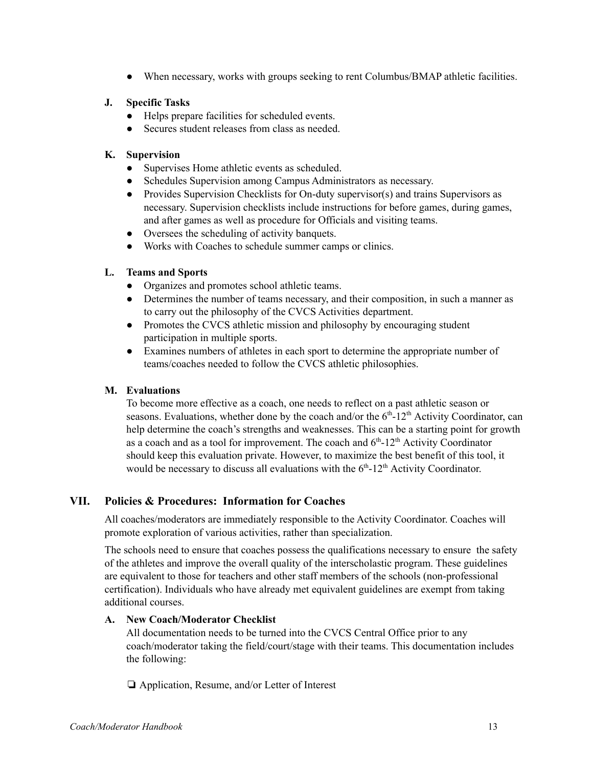● When necessary, works with groups seeking to rent Columbus/BMAP athletic facilities.

### **J. Specific Tasks**

- Helps prepare facilities for scheduled events.
- Secures student releases from class as needed.

### **K. Supervision**

- Supervises Home athletic events as scheduled.
- Schedules Supervision among Campus Administrators as necessary.
- Provides Supervision Checklists for On-duty supervisor(s) and trains Supervisors as necessary. Supervision checklists include instructions for before games, during games, and after games as well as procedure for Officials and visiting teams.
- Oversees the scheduling of activity banquets.
- Works with Coaches to schedule summer camps or clinics.

### **L. Teams and Sports**

- Organizes and promotes school athletic teams.
- Determines the number of teams necessary, and their composition, in such a manner as to carry out the philosophy of the CVCS Activities department.
- Promotes the CVCS athletic mission and philosophy by encouraging student participation in multiple sports.
- Examines numbers of athletes in each sport to determine the appropriate number of teams/coaches needed to follow the CVCS athletic philosophies.

#### **M. Evaluations**

To become more effective as a coach, one needs to reflect on a past athletic season or seasons. Evaluations, whether done by the coach and/or the  $6<sup>th</sup>$ -12<sup>th</sup> Activity Coordinator, can help determine the coach's strengths and weaknesses. This can be a starting point for growth as a coach and as a tool for improvement. The coach and  $6<sup>th</sup>$ -12<sup>th</sup> Activity Coordinator should keep this evaluation private. However, to maximize the best benefit of this tool, it would be necessary to discuss all evaluations with the  $6<sup>th</sup>$ -12<sup>th</sup> Activity Coordinator.

# **VII. Policies & Procedures: Information for Coaches**

All coaches/moderators are immediately responsible to the Activity Coordinator. Coaches will promote exploration of various activities, rather than specialization.

The schools need to ensure that coaches possess the qualifications necessary to ensure the safety of the athletes and improve the overall quality of the interscholastic program. These guidelines are equivalent to those for teachers and other staff members of the schools (non-professional certification). Individuals who have already met equivalent guidelines are exempt from taking additional courses.

# **A. New Coach/Moderator Checklist**

All documentation needs to be turned into the CVCS Central Office prior to any coach/moderator taking the field/court/stage with their teams. This documentation includes the following:

❏ Application, Resume, and/or Letter of Interest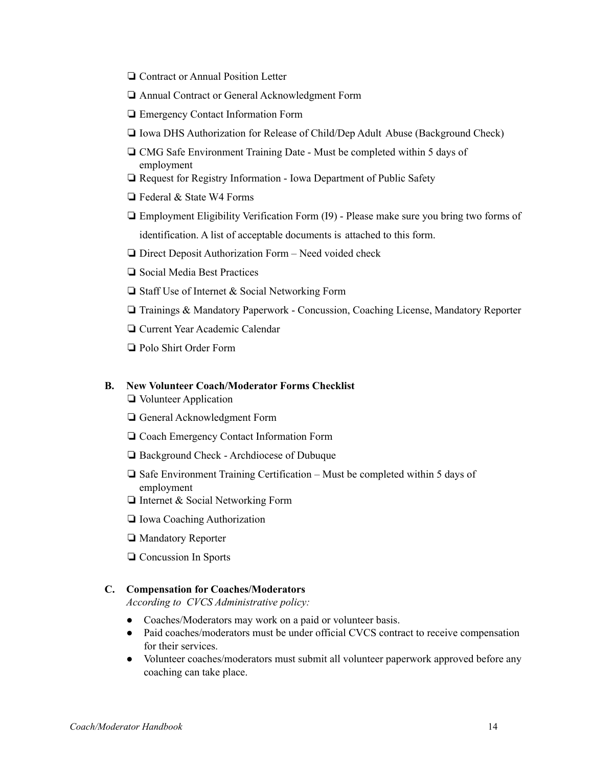- ❏ Contract or Annual Position Letter
- ❏ Annual Contract or General Acknowledgment Form
- ❏ Emergency Contact Information Form
- ❏ Iowa DHS Authorization for Release of Child/Dep Adult Abuse (Background Check)
- ❏ CMG Safe Environment Training Date Must be completed within 5 days of employment
- ❏ Request for Registry Information Iowa Department of Public Safety
- ❏ Federal & State W4 Forms
- ❏ Employment Eligibility Verification Form (I9) Please make sure you bring two forms of identification. A list of acceptable documents is attached to this form.
- ❏ Direct Deposit Authorization Form Need voided check
- ❏ Social Media Best Practices
- ❏ Staff Use of Internet & Social Networking Form
- ❏ Trainings & Mandatory Paperwork Concussion, Coaching License, Mandatory Reporter
- ❏ Current Year Academic Calendar
- ❏ Polo Shirt Order Form

#### **B. New Volunteer Coach/Moderator Forms Checklist**

- ❏ Volunteer Application
- ❏ General Acknowledgment Form
- ❏ Coach Emergency Contact Information Form
- ❏ Background Check Archdiocese of Dubuque
- ❏ Safe Environment Training Certification Must be completed within 5 days of employment
- ❏ Internet & Social Networking Form
- ❏ Iowa Coaching Authorization
- ❏ Mandatory Reporter
- ❏ Concussion In Sports

#### **C. Compensation for Coaches/Moderators**

*According to CVCS Administrative policy:*

- Coaches/Moderators may work on a paid or volunteer basis.
- Paid coaches/moderators must be under official CVCS contract to receive compensation for their services.
- Volunteer coaches/moderators must submit all volunteer paperwork approved before any coaching can take place.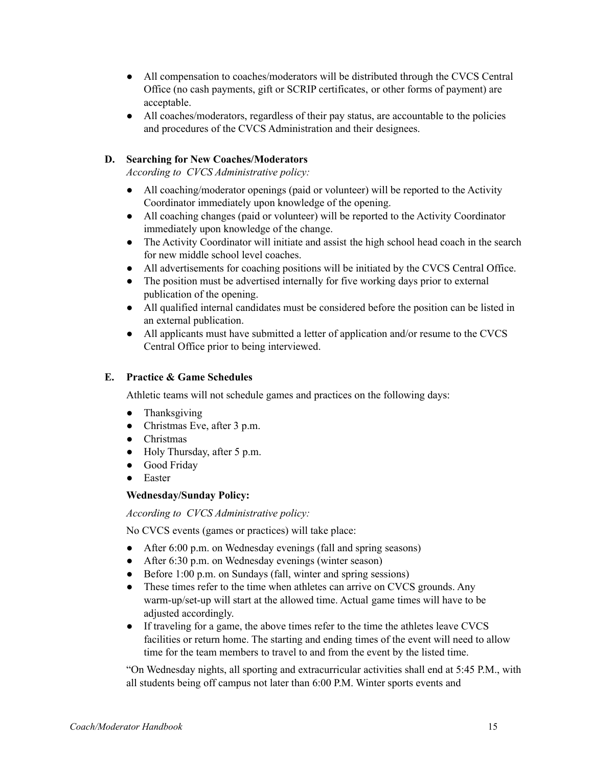- All compensation to coaches/moderators will be distributed through the CVCS Central Office (no cash payments, gift or SCRIP certificates, or other forms of payment) are acceptable.
- All coaches/moderators, regardless of their pay status, are accountable to the policies and procedures of the CVCS Administration and their designees.

# **D. Searching for New Coaches/Moderators**

*According to CVCS Administrative policy:*

- All coaching/moderator openings (paid or volunteer) will be reported to the Activity Coordinator immediately upon knowledge of the opening.
- All coaching changes (paid or volunteer) will be reported to the Activity Coordinator immediately upon knowledge of the change.
- The Activity Coordinator will initiate and assist the high school head coach in the search for new middle school level coaches.
- All advertisements for coaching positions will be initiated by the CVCS Central Office.
- The position must be advertised internally for five working days prior to external publication of the opening.
- All qualified internal candidates must be considered before the position can be listed in an external publication.
- All applicants must have submitted a letter of application and/or resume to the CVCS Central Office prior to being interviewed.

### **E. Practice & Game Schedules**

Athletic teams will not schedule games and practices on the following days:

- Thanksgiving
- Christmas Eve, after 3 p.m.
- Christmas
- Holy Thursday, after 5 p.m.
- Good Friday
- Easter

#### **Wednesday/Sunday Policy:**

*According to CVCS Administrative policy:*

No CVCS events (games or practices) will take place:

- After 6:00 p.m. on Wednesday evenings (fall and spring seasons)
- After 6:30 p.m. on Wednesday evenings (winter season)
- Before 1:00 p.m. on Sundays (fall, winter and spring sessions)
- These times refer to the time when athletes can arrive on CVCS grounds. Any warm-up/set-up will start at the allowed time. Actual game times will have to be adjusted accordingly.
- If traveling for a game, the above times refer to the time the athletes leave CVCS facilities or return home. The starting and ending times of the event will need to allow time for the team members to travel to and from the event by the listed time.

"On Wednesday nights, all sporting and extracurricular activities shall end at 5:45 P.M., with all students being off campus not later than 6:00 P.M. Winter sports events and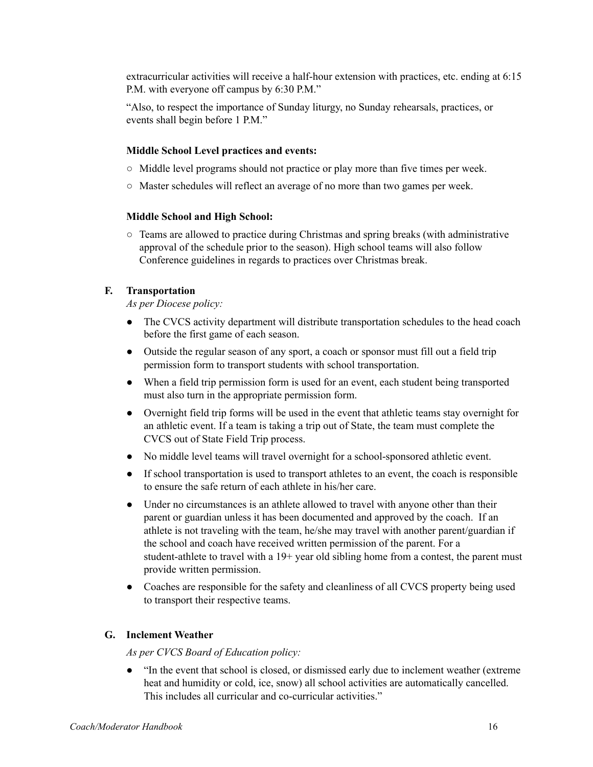extracurricular activities will receive a half-hour extension with practices, etc. ending at 6:15 P.M. with everyone off campus by 6:30 P.M."

"Also, to respect the importance of Sunday liturgy, no Sunday rehearsals, practices, or events shall begin before 1 P.M."

#### **Middle School Level practices and events:**

- Middle level programs should not practice or play more than five times per week.
- Master schedules will reflect an average of no more than two games per week.

#### **Middle School and High School:**

○ Teams are allowed to practice during Christmas and spring breaks (with administrative approval of the schedule prior to the season). High school teams will also follow Conference guidelines in regards to practices over Christmas break.

#### **F. Transportation**

*As per Diocese policy:*

- The CVCS activity department will distribute transportation schedules to the head coach before the first game of each season.
- Outside the regular season of any sport, a coach or sponsor must fill out a field trip permission form to transport students with school transportation.
- When a field trip permission form is used for an event, each student being transported must also turn in the appropriate permission form.
- Overnight field trip forms will be used in the event that athletic teams stay overnight for an athletic event. If a team is taking a trip out of State, the team must complete the CVCS out of State Field Trip process.
- No middle level teams will travel overnight for a school-sponsored athletic event.
- If school transportation is used to transport athletes to an event, the coach is responsible to ensure the safe return of each athlete in his/her care.
- Under no circumstances is an athlete allowed to travel with anyone other than their parent or guardian unless it has been documented and approved by the coach. If an athlete is not traveling with the team, he/she may travel with another parent/guardian if the school and coach have received written permission of the parent. For a student-athlete to travel with a 19+ year old sibling home from a contest, the parent must provide written permission.
- Coaches are responsible for the safety and cleanliness of all CVCS property being used to transport their respective teams.

#### **G. Inclement Weather**

*As per CVCS Board of Education policy:*

● "In the event that school is closed, or dismissed early due to inclement weather (extreme heat and humidity or cold, ice, snow) all school activities are automatically cancelled. This includes all curricular and co-curricular activities."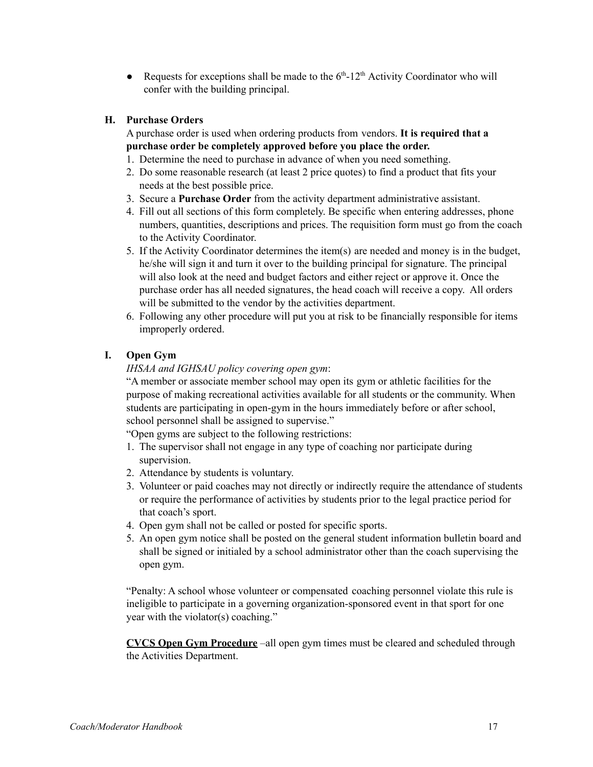• Requests for exceptions shall be made to the  $6<sup>th</sup>$ -12<sup>th</sup> Activity Coordinator who will confer with the building principal.

# **H. Purchase Orders**

A purchase order is used when ordering products from vendors. **It is required that a purchase order be completely approved before you place the order.**

- 1. Determine the need to purchase in advance of when you need something.
- 2. Do some reasonable research (at least 2 price quotes) to find a product that fits your needs at the best possible price.
- 3. Secure a **Purchase Order** from the activity department administrative assistant.
- 4. Fill out all sections of this form completely. Be specific when entering addresses, phone numbers, quantities, descriptions and prices. The requisition form must go from the coach to the Activity Coordinator.
- 5. If the Activity Coordinator determines the item(s) are needed and money is in the budget, he/she will sign it and turn it over to the building principal for signature. The principal will also look at the need and budget factors and either reject or approve it. Once the purchase order has all needed signatures, the head coach will receive a copy. All orders will be submitted to the vendor by the activities department.
- 6. Following any other procedure will put you at risk to be financially responsible for items improperly ordered.

# **I. Open Gym**

# *IHSAA and IGHSAU policy covering open gym*:

"A member or associate member school may open its gym or athletic facilities for the purpose of making recreational activities available for all students or the community. When students are participating in open-gym in the hours immediately before or after school, school personnel shall be assigned to supervise."

"Open gyms are subject to the following restrictions:

- 1. The supervisor shall not engage in any type of coaching nor participate during supervision.
- 2. Attendance by students is voluntary.
- 3. Volunteer or paid coaches may not directly or indirectly require the attendance of students or require the performance of activities by students prior to the legal practice period for that coach's sport.
- 4. Open gym shall not be called or posted for specific sports.
- 5. An open gym notice shall be posted on the general student information bulletin board and shall be signed or initialed by a school administrator other than the coach supervising the open gym.

"Penalty: A school whose volunteer or compensated coaching personnel violate this rule is ineligible to participate in a governing organization-sponsored event in that sport for one year with the violator(s) coaching."

**CVCS Open Gym Procedure** –all open gym times must be cleared and scheduled through the Activities Department.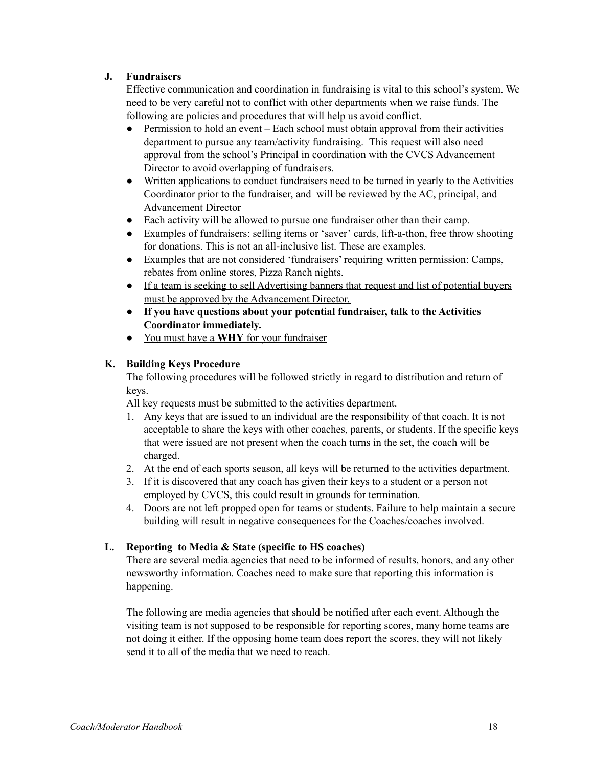# **J. Fundraisers**

Effective communication and coordination in fundraising is vital to this school's system. We need to be very careful not to conflict with other departments when we raise funds. The following are policies and procedures that will help us avoid conflict.

- Permission to hold an event Each school must obtain approval from their activities department to pursue any team/activity fundraising. This request will also need approval from the school's Principal in coordination with the CVCS Advancement Director to avoid overlapping of fundraisers.
- Written applications to conduct fundraisers need to be turned in yearly to the Activities Coordinator prior to the fundraiser, and will be reviewed by the AC, principal, and Advancement Director
- Each activity will be allowed to pursue one fundraiser other than their camp.
- Examples of fundraisers: selling items or 'saver' cards, lift-a-thon, free throw shooting for donations. This is not an all-inclusive list. These are examples.
- Examples that are not considered 'fundraisers' requiring written permission: Camps, rebates from online stores, Pizza Ranch nights.
- If a team is seeking to sell Advertising banners that request and list of potential buyers must be approved by the Advancement Director.
- **If you have questions about your potential fundraiser, talk to the Activities Coordinator immediately.**
- You must have a **WHY** for your fundraiser

# **K. Building Keys Procedure**

The following procedures will be followed strictly in regard to distribution and return of keys.

All key requests must be submitted to the activities department.

- 1. Any keys that are issued to an individual are the responsibility of that coach. It is not acceptable to share the keys with other coaches, parents, or students. If the specific keys that were issued are not present when the coach turns in the set, the coach will be charged.
- 2. At the end of each sports season, all keys will be returned to the activities department.
- 3. If it is discovered that any coach has given their keys to a student or a person not employed by CVCS, this could result in grounds for termination.
- 4. Doors are not left propped open for teams or students. Failure to help maintain a secure building will result in negative consequences for the Coaches/coaches involved.

# **L. Reporting to Media & State (specific to HS coaches)**

There are several media agencies that need to be informed of results, honors, and any other newsworthy information. Coaches need to make sure that reporting this information is happening.

The following are media agencies that should be notified after each event. Although the visiting team is not supposed to be responsible for reporting scores, many home teams are not doing it either. If the opposing home team does report the scores, they will not likely send it to all of the media that we need to reach.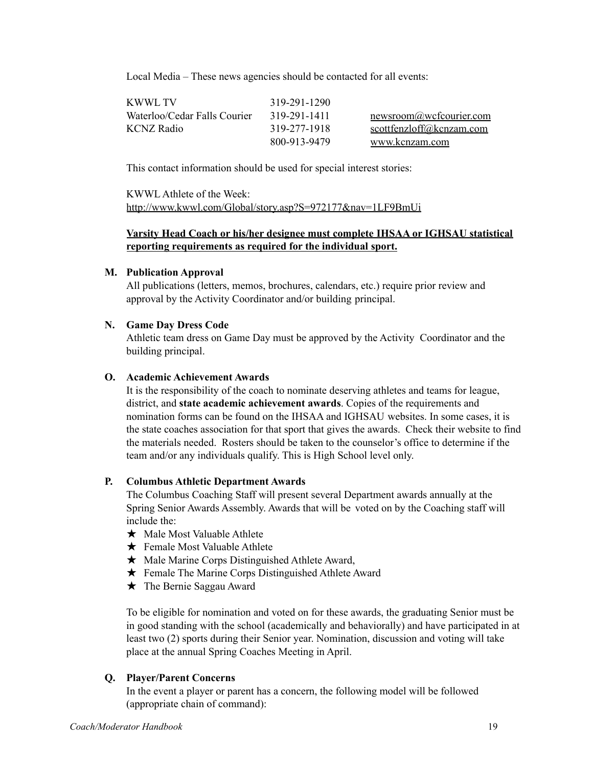Local Media – These news agencies should be contacted for all events:

| KWWL TV                      | 319-291-1290 |                          |
|------------------------------|--------------|--------------------------|
| Waterloo/Cedar Falls Courier | 319-291-1411 | newsroom@wcfcourier.com  |
| <b>KCNZ</b> Radio            | 319-277-1918 | scottfenzloff@kcnzam.com |
|                              | 800-913-9479 | www.kcnzam.com           |

This contact information should be used for special interest stories:

KWWL Athlete of the Week: http://www.kwwl.com/Global/story.asp?S=972177&nav=1LF9BmUi

# **Varsity Head Coach or his/her designee must complete IHSAA or IGHSAU statistical reporting requirements as required for the individual sport.**

### **M. Publication Approval**

All publications (letters, memos, brochures, calendars, etc.) require prior review and approval by the Activity Coordinator and/or building principal.

### **N. Game Day Dress Code**

Athletic team dress on Game Day must be approved by the Activity Coordinator and the building principal.

### **O. Academic Achievement Awards**

It is the responsibility of the coach to nominate deserving athletes and teams for league, district, and **state academic achievement awards**. Copies of the requirements and nomination forms can be found on the IHSAA and IGHSAU websites. In some cases, it is the state coaches association for that sport that gives the awards. Check their website to find the materials needed. Rosters should be taken to the counselor's office to determine if the team and/or any individuals qualify. This is High School level only.

# **P. Columbus Athletic Department Awards**

The Columbus Coaching Staff will present several Department awards annually at the Spring Senior Awards Assembly. Awards that will be voted on by the Coaching staff will include the:

- ★ Male Most Valuable Athlete
- $\bigstar$  Female Most Valuable Athlete
- ★ Male Marine Corps Distinguished Athlete Award,
- ★ Female The Marine Corps Distinguished Athlete Award
- ★ The Bernie Saggau Award

To be eligible for nomination and voted on for these awards, the graduating Senior must be in good standing with the school (academically and behaviorally) and have participated in at least two (2) sports during their Senior year. Nomination, discussion and voting will take place at the annual Spring Coaches Meeting in April.

# **Q. Player/Parent Concerns**

In the event a player or parent has a concern, the following model will be followed (appropriate chain of command):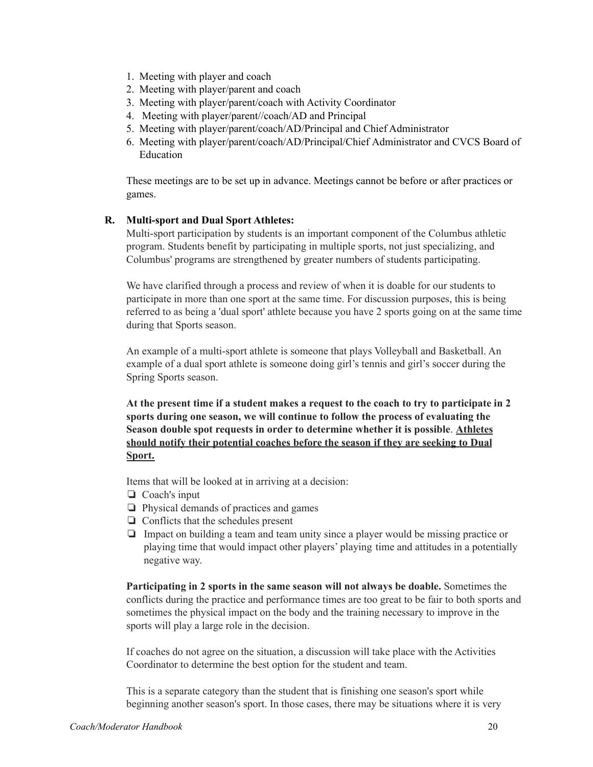- 1. Meeting with player and coach
- 2. Meeting with player/parent and coach
- 3. Meeting with player/parent/coach with Activity Coordinator
- 4. Meeting with player/parent//coach/AD and Principal
- 5. Meeting with player/parent/coach/AD/Principal and Chief Administrator
- 6. Meeting with player/parent/coach/AD/Principal/Chief Administrator and CVCS Board of Education

These meetings are to be set up in advance. Meetings cannot be before or after practices or games.

### **R. Multi-sport and Dual Sport Athletes:**

Multi-sport participation by students is an important component of the Columbus athletic program. Students benefit by participating in multiple sports, not just specializing, and Columbus' programs are strengthened by greater numbers of students participating.

We have clarified through a process and review of when it is doable for our students to participate in more than one sport at the same time. For discussion purposes, this is being referred to as being a 'dual sport' athlete because you have 2 sports going on at the same time during that Sports season.

An example of a multi-sport athlete is someone that plays Volleyball and Basketball. An example of a dual sport athlete is someone doing girl's tennis and girl's soccer during the Spring Sports season.

**At the present time if a student makes a request to the coach to try to participate in 2 sports during one season, we will continue to follow the process of evaluating the Season double spot requests in order to determine whether it is possible**. **Athletes should notify their potential coaches before the season if they are seeking to Dual Sport.**

Items that will be looked at in arriving at a decision:

- ❏ Coach's input
- ❏ Physical demands of practices and games
- ❏ Conflicts that the schedules present
- ❏ Impact on building a team and team unity since a player would be missing practice or playing time that would impact other players' playing time and attitudes in a potentially negative way.

**Participating in 2 sports in the same season will not always be doable.** Sometimes the conflicts during the practice and performance times are too great to be fair to both sports and sometimes the physical impact on the body and the training necessary to improve in the sports will play a large role in the decision.

If coaches do not agree on the situation, a discussion will take place with the Activities Coordinator to determine the best option for the student and team.

This is a separate category than the student that is finishing one season's sport while beginning another season's sport. In those cases, there may be situations where it is very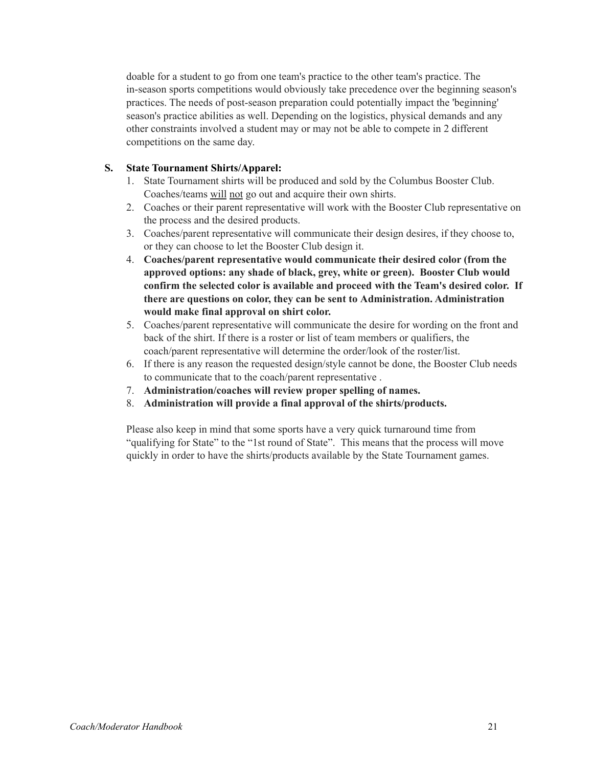doable for a student to go from one team's practice to the other team's practice. The in-season sports competitions would obviously take precedence over the beginning season's practices. The needs of post-season preparation could potentially impact the 'beginning' season's practice abilities as well. Depending on the logistics, physical demands and any other constraints involved a student may or may not be able to compete in 2 different competitions on the same day.

### **S. State Tournament Shirts/Apparel:**

- 1. State Tournament shirts will be produced and sold by the Columbus Booster Club. Coaches/teams will not go out and acquire their own shirts.
- 2. Coaches or their parent representative will work with the Booster Club representative on the process and the desired products.
- 3. Coaches/parent representative will communicate their design desires, if they choose to, or they can choose to let the Booster Club design it.
- 4. **Coaches/parent representative would communicate their desired color (from the approved options: any shade of black, grey, white or green). Booster Club would confirm the selected color is available and proceed with the Team's desired color. If there are questions on color, they can be sent to Administration. Administration would make final approval on shirt color.**
- 5. Coaches/parent representative will communicate the desire for wording on the front and back of the shirt. If there is a roster or list of team members or qualifiers, the coach/parent representative will determine the order/look of the roster/list.
- 6. If there is any reason the requested design/style cannot be done, the Booster Club needs to communicate that to the coach/parent representative .
- 7. **Administration/coaches will review proper spelling of names.**
- 8. **Administration will provide a final approval of the shirts/products.**

Please also keep in mind that some sports have a very quick turnaround time from "qualifying for State" to the "1st round of State". This means that the process will move quickly in order to have the shirts/products available by the State Tournament games.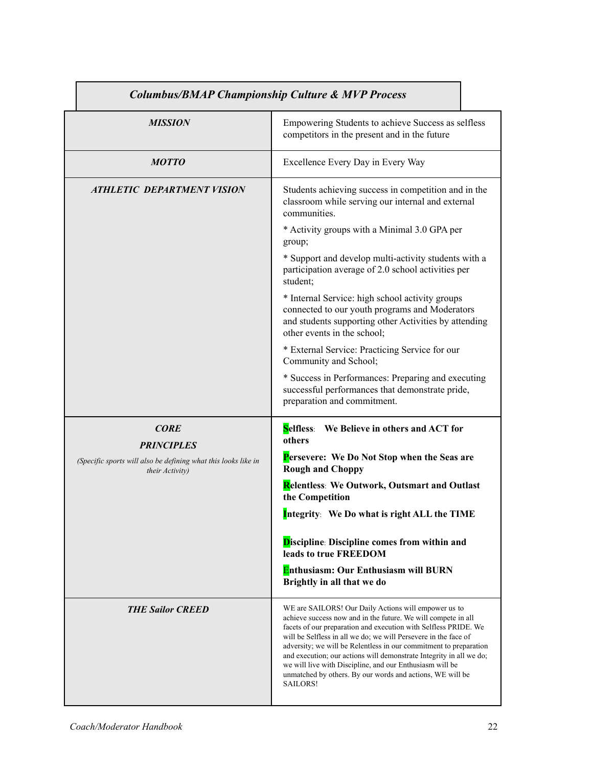| <b>Columbus/BMAP Championship Culture &amp; MVP Process</b>                       |                                                                                                                                                                                                                                                                                                                                                                                                                                                                                                                                              |  |
|-----------------------------------------------------------------------------------|----------------------------------------------------------------------------------------------------------------------------------------------------------------------------------------------------------------------------------------------------------------------------------------------------------------------------------------------------------------------------------------------------------------------------------------------------------------------------------------------------------------------------------------------|--|
| <b>MISSION</b>                                                                    | Empowering Students to achieve Success as selfless<br>competitors in the present and in the future                                                                                                                                                                                                                                                                                                                                                                                                                                           |  |
| <b>MOTTO</b>                                                                      | Excellence Every Day in Every Way                                                                                                                                                                                                                                                                                                                                                                                                                                                                                                            |  |
| <b>ATHLETIC DEPARTMENT VISION</b>                                                 | Students achieving success in competition and in the<br>classroom while serving our internal and external<br>communities.                                                                                                                                                                                                                                                                                                                                                                                                                    |  |
|                                                                                   | * Activity groups with a Minimal 3.0 GPA per<br>group;                                                                                                                                                                                                                                                                                                                                                                                                                                                                                       |  |
|                                                                                   | * Support and develop multi-activity students with a<br>participation average of 2.0 school activities per<br>student;                                                                                                                                                                                                                                                                                                                                                                                                                       |  |
|                                                                                   | * Internal Service: high school activity groups<br>connected to our youth programs and Moderators<br>and students supporting other Activities by attending<br>other events in the school;                                                                                                                                                                                                                                                                                                                                                    |  |
|                                                                                   | * External Service: Practicing Service for our<br>Community and School;                                                                                                                                                                                                                                                                                                                                                                                                                                                                      |  |
|                                                                                   | * Success in Performances: Preparing and executing<br>successful performances that demonstrate pride,<br>preparation and commitment.                                                                                                                                                                                                                                                                                                                                                                                                         |  |
| <b>CORE</b><br><b>PRINCIPLES</b>                                                  | Selfless: We Believe in others and ACT for<br>others                                                                                                                                                                                                                                                                                                                                                                                                                                                                                         |  |
| (Specific sports will also be defining what this looks like in<br>their Activity) | Persevere: We Do Not Stop when the Seas are<br><b>Rough and Choppy</b>                                                                                                                                                                                                                                                                                                                                                                                                                                                                       |  |
|                                                                                   | Relentless: We Outwork, Outsmart and Outlast<br>the Competition                                                                                                                                                                                                                                                                                                                                                                                                                                                                              |  |
|                                                                                   | Integrity: We Do what is right ALL the TIME                                                                                                                                                                                                                                                                                                                                                                                                                                                                                                  |  |
|                                                                                   | <b>Discipline: Discipline comes from within and</b><br>leads to true FREEDOM                                                                                                                                                                                                                                                                                                                                                                                                                                                                 |  |
|                                                                                   | Enthusiasm: Our Enthusiasm will BURN<br>Brightly in all that we do                                                                                                                                                                                                                                                                                                                                                                                                                                                                           |  |
| <b>THE Sailor CREED</b>                                                           | WE are SAILORS! Our Daily Actions will empower us to<br>achieve success now and in the future. We will compete in all<br>facets of our preparation and execution with Selfless PRIDE. We<br>will be Selfless in all we do; we will Persevere in the face of<br>adversity; we will be Relentless in our commitment to preparation<br>and execution; our actions will demonstrate Integrity in all we do;<br>we will live with Discipline, and our Enthusiasm will be<br>unmatched by others. By our words and actions, WE will be<br>SAILORS! |  |